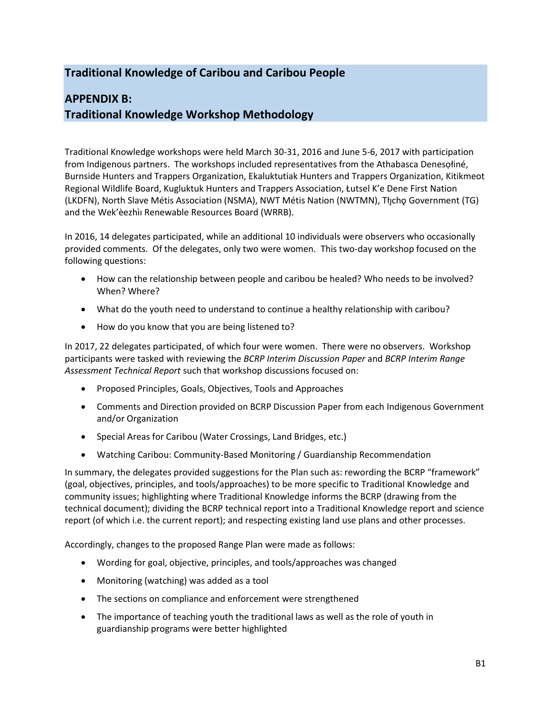## **Traditional Knowledge of Caribou and Caribou People**

## **APPENDIX B: Traditional Knowledge Workshop Methodology**

Traditional Knowledge workshops were held March 30-31, 2016 and June 5-6, 2017 with participation from Indigenous partners. The workshops included representatives from the Athabasca Denesọłiné, Burnside Hunters and Trappers Organization, Ekaluktutiak Hunters and Trappers Organization, Kitikmeot Regional Wildlife Board, Kugluktuk Hunters and Trappers Association, Łutsel K'e Dene First Nation (LKDFN), North Slave Métis Association (NSMA), NWT Métis Nation (NWTMN), Tłı̨chǫ Government (TG) and the Wek'èezhìı Renewable Resources Board (WRRB).

In 2016, 14 delegates participated, while an additional 10 individuals were observers who occasionally provided comments. Of the delegates, only two were women. This two-day workshop focused on the following questions:

- How can the relationship between people and caribou be healed? Who needs to be involved? When? Where?
- What do the youth need to understand to continue a healthy relationship with caribou?
- How do you know that you are being listened to?

In 2017, 22 delegates participated, of which four were women. There were no observers. Workshop participants were tasked with reviewing the *BCRP Interim Discussion Paper* and *BCRP Interim Range Assessment Technical Report* such that workshop discussions focused on:

- Proposed Principles, Goals, Objectives, Tools and Approaches
- Comments and Direction provided on BCRP Discussion Paper from each Indigenous Government and/or Organization
- Special Areas for Caribou (Water Crossings, Land Bridges, etc.)
- Watching Caribou: Community-Based Monitoring / Guardianship Recommendation

In summary, the delegates provided suggestions for the Plan such as: rewording the BCRP "framework" (goal, objectives, principles, and tools/approaches) to be more specific to Traditional Knowledge and community issues; highlighting where Traditional Knowledge informs the BCRP (drawing from the technical document); dividing the BCRP technical report into a Traditional Knowledge report and science report (of which i.e. the current report); and respecting existing land use plans and other processes.

Accordingly, changes to the proposed Range Plan were made as follows:

- Wording for goal, objective, principles, and tools/approaches was changed
- Monitoring (watching) was added as a tool
- The sections on compliance and enforcement were strengthened
- The importance of teaching youth the traditional laws as well as the role of youth in guardianship programs were better highlighted